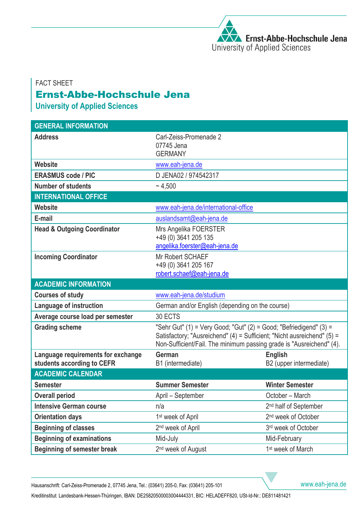## FACT SHEET Ernst-Abbe-Hochschule Jena

**University of Applied Sciences**

| <b>GENERAL INFORMATION</b>                                       |                                                                                                                                                                                                                       |                                           |
|------------------------------------------------------------------|-----------------------------------------------------------------------------------------------------------------------------------------------------------------------------------------------------------------------|-------------------------------------------|
| <b>Address</b>                                                   | Carl-Zeiss-Promenade 2                                                                                                                                                                                                |                                           |
|                                                                  | 07745 Jena<br><b>GERMANY</b>                                                                                                                                                                                          |                                           |
| <b>Website</b>                                                   | www.eah-jena.de                                                                                                                                                                                                       |                                           |
| <b>ERASMUS code / PIC</b>                                        | D JENA02 / 974542317                                                                                                                                                                                                  |                                           |
| <b>Number of students</b>                                        | ~1.500                                                                                                                                                                                                                |                                           |
| <b>INTERNATIONAL OFFICE</b>                                      |                                                                                                                                                                                                                       |                                           |
| <b>Website</b>                                                   | www.eah-jena.de/international-office                                                                                                                                                                                  |                                           |
| E-mail                                                           | auslandsamt@eah-jena.de                                                                                                                                                                                               |                                           |
| <b>Head &amp; Outgoing Coordinator</b>                           | Mrs Angelika FOERSTER                                                                                                                                                                                                 |                                           |
|                                                                  | +49 (0) 3641 205 135                                                                                                                                                                                                  |                                           |
|                                                                  | angelika.foerster@eah-jena.de                                                                                                                                                                                         |                                           |
| <b>Incoming Coordinator</b>                                      | Mr Robert SCHAEF                                                                                                                                                                                                      |                                           |
|                                                                  | +49 (0) 3641 205 167                                                                                                                                                                                                  |                                           |
|                                                                  | robert.schaef@eah-jena.de                                                                                                                                                                                             |                                           |
| <b>ACADEMIC INFORMATION</b>                                      |                                                                                                                                                                                                                       |                                           |
| <b>Courses of study</b>                                          | www.eah-jena.de/studium                                                                                                                                                                                               |                                           |
| Language of instruction                                          | German and/or English (depending on the course)                                                                                                                                                                       |                                           |
| Average course load per semester                                 | 30 ECTS                                                                                                                                                                                                               |                                           |
| <b>Grading scheme</b>                                            | "Sehr Gut" (1) = Very Good; "Gut" (2) = Good; "Befriedigend" (3) =<br>Satisfactory; "Ausreichend" (4) = Sufficient; "Nicht ausreichend" (5) =<br>Non-Sufficient/Fail. The minimum passing grade is "Ausreichend" (4). |                                           |
|                                                                  |                                                                                                                                                                                                                       |                                           |
| Language requirements for exchange<br>students according to CEFR | <b>German</b><br>B1 (intermediate)                                                                                                                                                                                    | <b>English</b><br>B2 (upper intermediate) |
| <b>ACADEMIC CALENDAR</b>                                         |                                                                                                                                                                                                                       |                                           |
| <b>Semester</b>                                                  | <b>Summer Semester</b>                                                                                                                                                                                                | <b>Winter Semester</b>                    |
| <b>Overall period</b>                                            | April – September                                                                                                                                                                                                     | October - March                           |
| <b>Intensive German course</b>                                   | n/a                                                                                                                                                                                                                   | 2 <sup>nd</sup> half of September         |
| <b>Orientation days</b>                                          | 1 <sup>st</sup> week of April                                                                                                                                                                                         | 2 <sup>nd</sup> week of October           |
| <b>Beginning of classes</b>                                      | 2 <sup>nd</sup> week of April                                                                                                                                                                                         | 3rd week of October                       |
| <b>Beginning of examinations</b>                                 | Mid-July                                                                                                                                                                                                              | Mid-February                              |
| <b>Beginning of semester break</b>                               | 2 <sup>nd</sup> week of August                                                                                                                                                                                        | 1 <sup>st</sup> week of March             |

Hausanschrift: Carl-Zeiss-Promenade 2, 07745 Jena, Tel.: (03641) 205-0, Fax: (03641) 205-101 [www.eah-jena.de](http://www.eah-jena.de/)

Kreditinstitut: Landesbank-Hessen-Thüringen, IBAN: DE25820500003004444331, BIC: HELADEFF820, USt-Id-Nr.: DE811481421